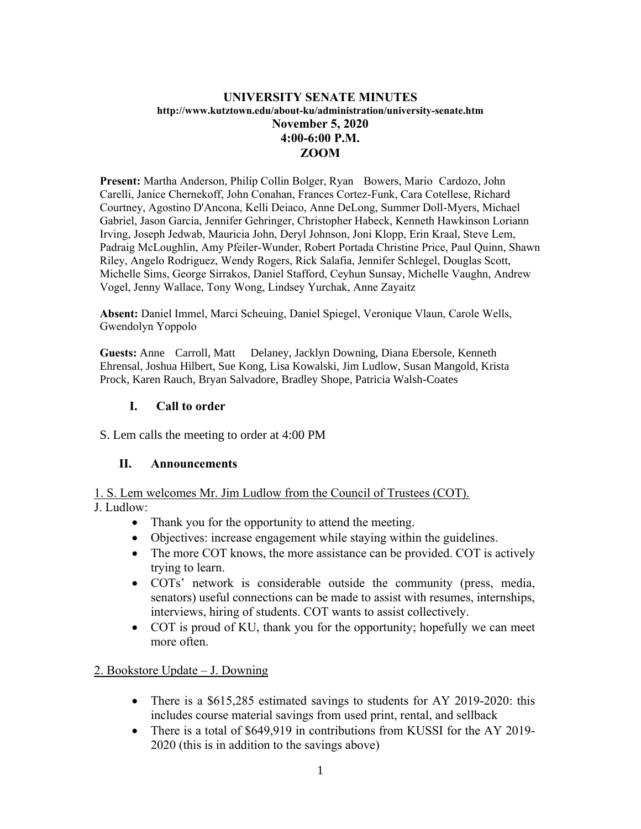#### **UNIVERSITY SENATE MINUTES http://www.kutztown.edu/about-ku/administration/university-senate.htm November 5, 2020 4:00-6:00 P.M. ZOOM**

**Present:** Martha Anderson, Philip Collin Bolger, Ryan Bowers, Mario Cardozo, John Carelli, Janice Chernekoff, John Conahan, Frances Cortez-Funk, Cara Cotellese, Richard Courtney, Agostino D'Ancona, Kelli Deiaco, Anne DeLong, Summer Doll-Myers, Michael Gabriel, Jason Garcia, Jennifer Gehringer, Christopher Habeck, Kenneth Hawkinson Loriann Irving, Joseph Jedwab, Mauricia John, Deryl Johnson, Joni Klopp, Erin Kraal, Steve Lem, Padraig McLoughlin, Amy Pfeiler-Wunder, Robert Portada Christine Price, Paul Quinn, Shawn Riley, Angelo Rodriguez, Wendy Rogers, Rick Salafia, Jennifer Schlegel, Douglas Scott, Michelle Sims, George Sirrakos, Daniel Stafford, Ceyhun Sunsay, Michelle Vaughn, Andrew Vogel, Jenny Wallace, Tony Wong, Lindsey Yurchak, Anne Zayaitz

**Absent:** Daniel Immel, Marci Scheuing, Daniel Spiegel, Veronique Vlaun, Carole Wells, Gwendolyn Yoppolo

**Guests:** Anne Carroll, Matt Delaney, Jacklyn Downing, Diana Ebersole, Kenneth Ehrensal, Joshua Hilbert, Sue Kong, Lisa Kowalski, Jim Ludlow, Susan Mangold, Krista Prock, Karen Rauch, Bryan Salvadore, Bradley Shope, Patricia Walsh-Coates

#### **I. Call to order**

S. Lem calls the meeting to order at 4:00 PM

#### **II. Announcements**

1. S. Lem welcomes Mr. Jim Ludlow from the Council of Trustees (COT). J. Ludlow:

- Thank you for the opportunity to attend the meeting.
- Objectives: increase engagement while staying within the guidelines.
- The more COT knows, the more assistance can be provided. COT is actively trying to learn.
- COTs' network is considerable outside the community (press, media, senators) useful connections can be made to assist with resumes, internships, interviews, hiring of students. COT wants to assist collectively.
- COT is proud of KU, thank you for the opportunity; hopefully we can meet more often.

2. Bookstore Update – J. Downing

- There is a \$615,285 estimated savings to students for AY 2019-2020: this includes course material savings from used print, rental, and sellback
- There is a total of \$649,919 in contributions from KUSSI for the AY 2019-2020 (this is in addition to the savings above)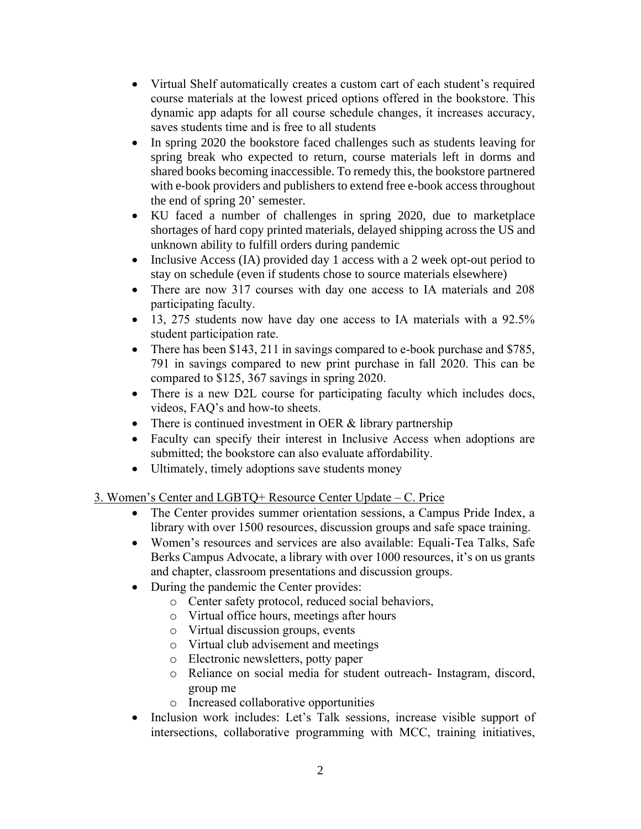- Virtual Shelf automatically creates a custom cart of each student's required course materials at the lowest priced options offered in the bookstore. This dynamic app adapts for all course schedule changes, it increases accuracy, saves students time and is free to all students
- In spring 2020 the bookstore faced challenges such as students leaving for spring break who expected to return, course materials left in dorms and shared books becoming inaccessible. To remedy this, the bookstore partnered with e-book providers and publishers to extend free e-book access throughout the end of spring 20' semester.
- KU faced a number of challenges in spring 2020, due to marketplace shortages of hard copy printed materials, delayed shipping across the US and unknown ability to fulfill orders during pandemic
- Inclusive Access (IA) provided day 1 access with a 2 week opt-out period to stay on schedule (even if students chose to source materials elsewhere)
- There are now 317 courses with day one access to IA materials and 208 participating faculty.
- 13, 275 students now have day one access to IA materials with a 92.5% student participation rate.
- There has been \$143, 211 in savings compared to e-book purchase and \$785, 791 in savings compared to new print purchase in fall 2020. This can be compared to \$125, 367 savings in spring 2020.
- There is a new D2L course for participating faculty which includes docs, videos, FAQ's and how-to sheets.
- There is continued investment in OER & library partnership
- Faculty can specify their interest in Inclusive Access when adoptions are submitted; the bookstore can also evaluate affordability.
- Ultimately, timely adoptions save students money

### 3. Women's Center and LGBTQ+ Resource Center Update – C. Price

- The Center provides summer orientation sessions, a Campus Pride Index, a library with over 1500 resources, discussion groups and safe space training.
- Women's resources and services are also available: Equali-Tea Talks, Safe Berks Campus Advocate, a library with over 1000 resources, it's on us grants and chapter, classroom presentations and discussion groups.
- During the pandemic the Center provides:
	- o Center safety protocol, reduced social behaviors,
	- o Virtual office hours, meetings after hours
	- o Virtual discussion groups, events
	- o Virtual club advisement and meetings
	- o Electronic newsletters, potty paper
	- o Reliance on social media for student outreach- Instagram, discord, group me
	- o Increased collaborative opportunities
- Inclusion work includes: Let's Talk sessions, increase visible support of intersections, collaborative programming with MCC, training initiatives,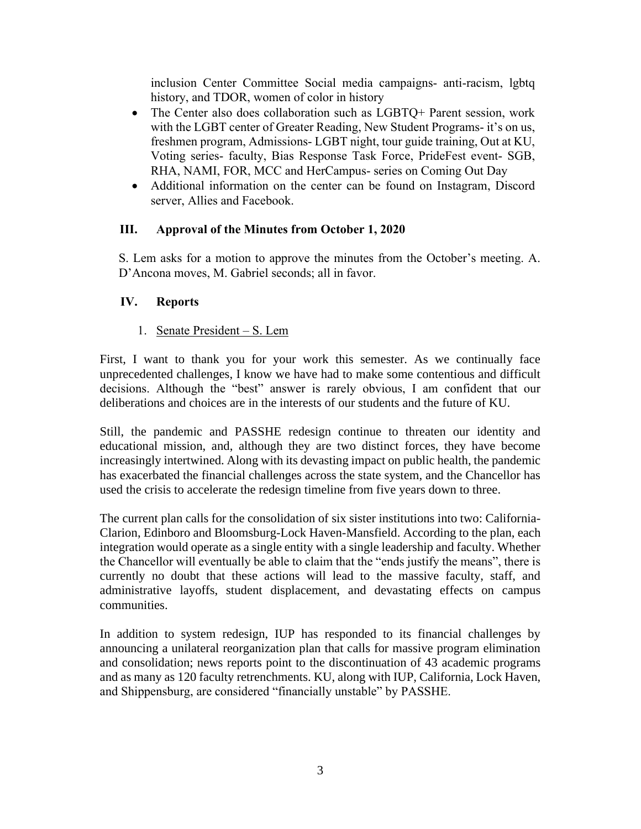inclusion Center Committee Social media campaigns- anti-racism, lgbtq history, and TDOR, women of color in history

- The Center also does collaboration such as LGBTQ+ Parent session, work with the LGBT center of Greater Reading, New Student Programs- it's on us, freshmen program, Admissions- LGBT night, tour guide training, Out at KU, Voting series- faculty, Bias Response Task Force, PrideFest event- SGB, RHA, NAMI, FOR, MCC and HerCampus- series on Coming Out Day
- Additional information on the center can be found on Instagram, Discord server, Allies and Facebook.

### **III. Approval of the Minutes from October 1, 2020**

S. Lem asks for a motion to approve the minutes from the October's meeting. A. D'Ancona moves, M. Gabriel seconds; all in favor.

# **IV. Reports**

1. Senate President – S. Lem

First, I want to thank you for your work this semester. As we continually face unprecedented challenges, I know we have had to make some contentious and difficult decisions. Although the "best" answer is rarely obvious, I am confident that our deliberations and choices are in the interests of our students and the future of KU.

Still, the pandemic and PASSHE redesign continue to threaten our identity and educational mission, and, although they are two distinct forces, they have become increasingly intertwined. Along with its devasting impact on public health, the pandemic has exacerbated the financial challenges across the state system, and the Chancellor has used the crisis to accelerate the redesign timeline from five years down to three.

The current plan calls for the consolidation of six sister institutions into two: California-Clarion, Edinboro and Bloomsburg-Lock Haven-Mansfield. According to the plan, each integration would operate as a single entity with a single leadership and faculty. Whether the Chancellor will eventually be able to claim that the "ends justify the means", there is currently no doubt that these actions will lead to the massive faculty, staff, and administrative layoffs, student displacement, and devastating effects on campus communities.

In addition to system redesign, IUP has responded to its financial challenges by announcing a unilateral reorganization plan that calls for massive program elimination and consolidation; news reports point to the discontinuation of 43 academic programs and as many as 120 faculty retrenchments. KU, along with IUP, California, Lock Haven, and Shippensburg, are considered "financially unstable" by PASSHE.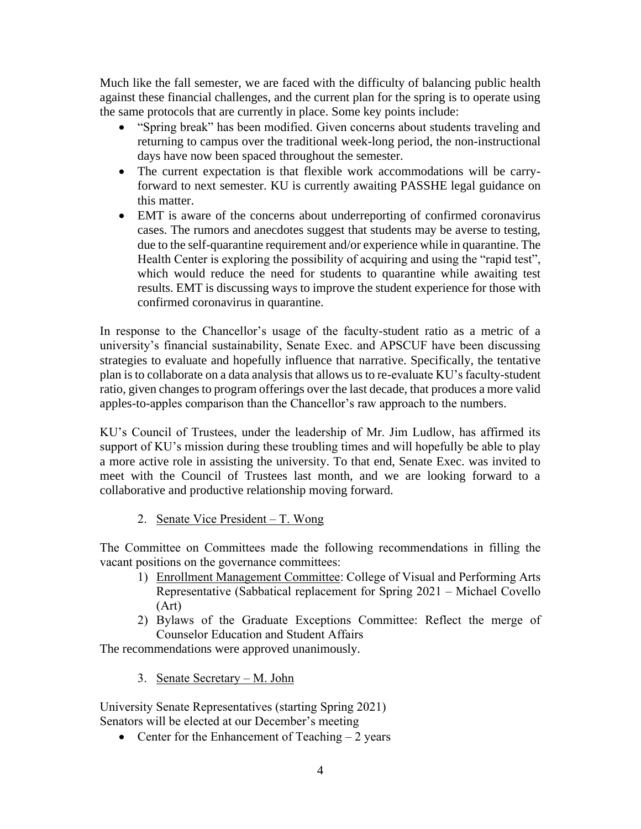Much like the fall semester, we are faced with the difficulty of balancing public health against these financial challenges, and the current plan for the spring is to operate using the same protocols that are currently in place. Some key points include:

- "Spring break" has been modified. Given concerns about students traveling and returning to campus over the traditional week-long period, the non-instructional days have now been spaced throughout the semester.
- The current expectation is that flexible work accommodations will be carryforward to next semester. KU is currently awaiting PASSHE legal guidance on this matter.
- EMT is aware of the concerns about underreporting of confirmed coronavirus cases. The rumors and anecdotes suggest that students may be averse to testing, due to the self-quarantine requirement and/or experience while in quarantine. The Health Center is exploring the possibility of acquiring and using the "rapid test", which would reduce the need for students to quarantine while awaiting test results. EMT is discussing ways to improve the student experience for those with confirmed coronavirus in quarantine.

In response to the Chancellor's usage of the faculty-student ratio as a metric of a university's financial sustainability, Senate Exec. and APSCUF have been discussing strategies to evaluate and hopefully influence that narrative. Specifically, the tentative plan is to collaborate on a data analysis that allows us to re-evaluate KU's faculty-student ratio, given changes to program offerings over the last decade, that produces a more valid apples-to-apples comparison than the Chancellor's raw approach to the numbers.

KU's Council of Trustees, under the leadership of Mr. Jim Ludlow, has affirmed its support of KU's mission during these troubling times and will hopefully be able to play a more active role in assisting the university. To that end, Senate Exec. was invited to meet with the Council of Trustees last month, and we are looking forward to a collaborative and productive relationship moving forward.

2. Senate Vice President – T. Wong

The Committee on Committees made the following recommendations in filling the vacant positions on the governance committees:

- 1) Enrollment Management Committee: College of Visual and Performing Arts Representative (Sabbatical replacement for Spring 2021 – Michael Covello (Art)
- 2) Bylaws of the Graduate Exceptions Committee: Reflect the merge of Counselor Education and Student Affairs

The recommendations were approved unanimously.

3. Senate Secretary – M. John

University Senate Representatives (starting Spring 2021) Senators will be elected at our December's meeting

• Center for the Enhancement of Teaching  $-2$  years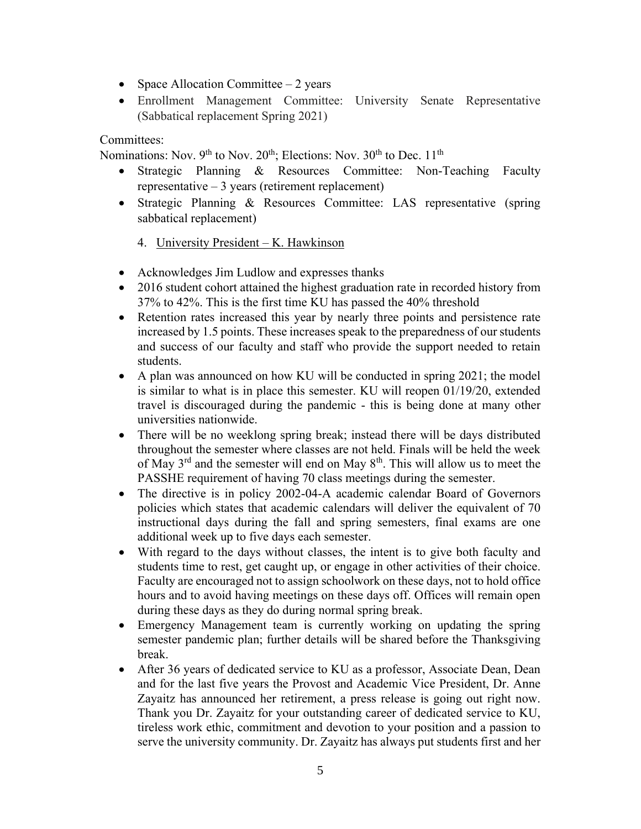- Space Allocation Committee  $-2$  years
- Enrollment Management Committee: University Senate Representative (Sabbatical replacement Spring 2021)

#### Committees:

Nominations: Nov.  $9<sup>th</sup>$  to Nov.  $20<sup>th</sup>$ ; Elections: Nov.  $30<sup>th</sup>$  to Dec.  $11<sup>th</sup>$ 

- Strategic Planning & Resources Committee: Non-Teaching Faculty representative – 3 years (retirement replacement)
- Strategic Planning & Resources Committee: LAS representative (spring sabbatical replacement)
	- 4. University President K. Hawkinson
- Acknowledges Jim Ludlow and expresses thanks
- 2016 student cohort attained the highest graduation rate in recorded history from 37% to 42%. This is the first time KU has passed the 40% threshold
- Retention rates increased this year by nearly three points and persistence rate increased by 1.5 points. These increases speak to the preparedness of our students and success of our faculty and staff who provide the support needed to retain students.
- A plan was announced on how KU will be conducted in spring 2021; the model is similar to what is in place this semester. KU will reopen 01/19/20, extended travel is discouraged during the pandemic - this is being done at many other universities nationwide.
- There will be no weeklong spring break; instead there will be days distributed throughout the semester where classes are not held. Finals will be held the week of May 3rd and the semester will end on May 8th. This will allow us to meet the PASSHE requirement of having 70 class meetings during the semester.
- The directive is in policy 2002-04-A academic calendar Board of Governors policies which states that academic calendars will deliver the equivalent of 70 instructional days during the fall and spring semesters, final exams are one additional week up to five days each semester.
- With regard to the days without classes, the intent is to give both faculty and students time to rest, get caught up, or engage in other activities of their choice. Faculty are encouraged not to assign schoolwork on these days, not to hold office hours and to avoid having meetings on these days off. Offices will remain open during these days as they do during normal spring break.
- Emergency Management team is currently working on updating the spring semester pandemic plan; further details will be shared before the Thanksgiving break.
- After 36 years of dedicated service to KU as a professor, Associate Dean, Dean and for the last five years the Provost and Academic Vice President, Dr. Anne Zayaitz has announced her retirement, a press release is going out right now. Thank you Dr. Zayaitz for your outstanding career of dedicated service to KU, tireless work ethic, commitment and devotion to your position and a passion to serve the university community. Dr. Zayaitz has always put students first and her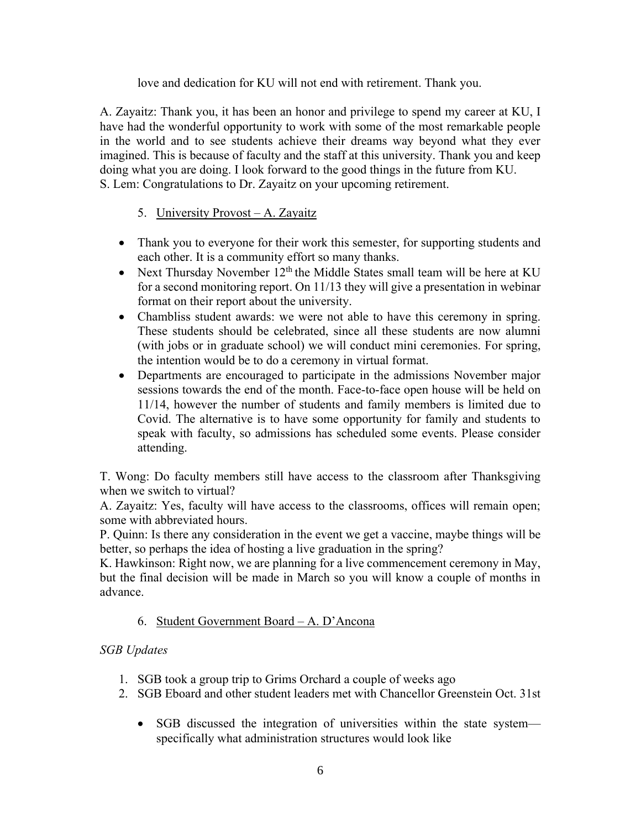#### love and dedication for KU will not end with retirement. Thank you.

A. Zayaitz: Thank you, it has been an honor and privilege to spend my career at KU, I have had the wonderful opportunity to work with some of the most remarkable people in the world and to see students achieve their dreams way beyond what they ever imagined. This is because of faculty and the staff at this university. Thank you and keep doing what you are doing. I look forward to the good things in the future from KU. S. Lem: Congratulations to Dr. Zayaitz on your upcoming retirement.

## 5. University Provost – A. Zayaitz

- Thank you to everyone for their work this semester, for supporting students and each other. It is a community effort so many thanks.
- Next Thursday November  $12<sup>th</sup>$  the Middle States small team will be here at KU for a second monitoring report. On 11/13 they will give a presentation in webinar format on their report about the university.
- Chambliss student awards: we were not able to have this ceremony in spring. These students should be celebrated, since all these students are now alumni (with jobs or in graduate school) we will conduct mini ceremonies. For spring, the intention would be to do a ceremony in virtual format.
- Departments are encouraged to participate in the admissions November major sessions towards the end of the month. Face-to-face open house will be held on 11/14, however the number of students and family members is limited due to Covid. The alternative is to have some opportunity for family and students to speak with faculty, so admissions has scheduled some events. Please consider attending.

T. Wong: Do faculty members still have access to the classroom after Thanksgiving when we switch to virtual?

A. Zayaitz: Yes, faculty will have access to the classrooms, offices will remain open; some with abbreviated hours.

P. Quinn: Is there any consideration in the event we get a vaccine, maybe things will be better, so perhaps the idea of hosting a live graduation in the spring?

K. Hawkinson: Right now, we are planning for a live commencement ceremony in May, but the final decision will be made in March so you will know a couple of months in advance.

### 6. Student Government Board – A. D'Ancona

### *SGB Updates*

- 1. SGB took a group trip to Grims Orchard a couple of weeks ago
- 2. SGB Eboard and other student leaders met with Chancellor Greenstein Oct. 31st
	- SGB discussed the integration of universities within the state system specifically what administration structures would look like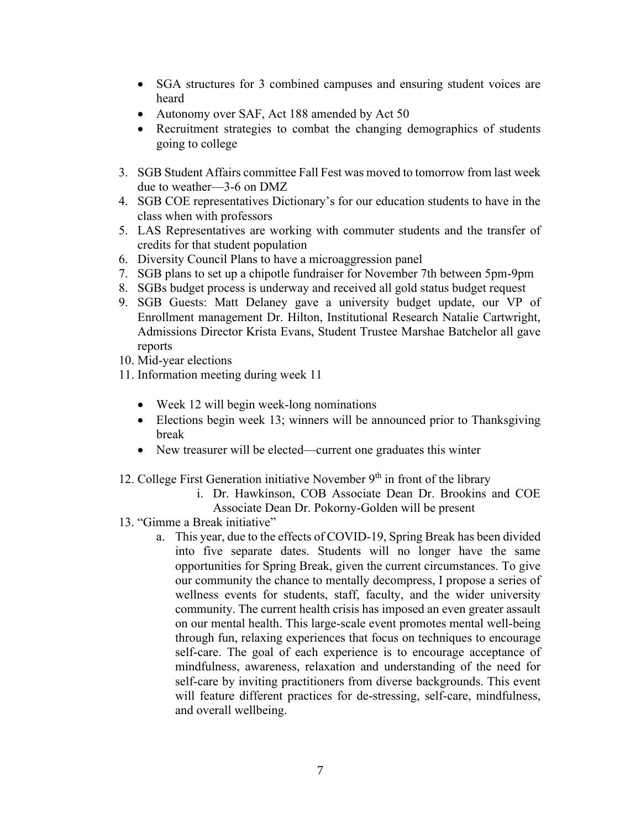- SGA structures for 3 combined campuses and ensuring student voices are heard
- Autonomy over SAF, Act 188 amended by Act 50
- Recruitment strategies to combat the changing demographics of students going to college
- 3. SGB Student Affairs committee Fall Fest was moved to tomorrow from last week due to weather—3-6 on DMZ
- 4. SGB COE representatives Dictionary's for our education students to have in the class when with professors
- 5. LAS Representatives are working with commuter students and the transfer of credits for that student population
- 6. Diversity Council Plans to have a microaggression panel
- 7. SGB plans to set up a chipotle fundraiser for November 7th between 5pm-9pm
- 8. SGBs budget process is underway and received all gold status budget request
- 9. SGB Guests: Matt Delaney gave a university budget update, our VP of Enrollment management Dr. Hilton, Institutional Research Natalie Cartwright, Admissions Director Krista Evans, Student Trustee Marshae Batchelor all gave reports
- 10. Mid-year elections
- 11. Information meeting during week 11
	- Week 12 will begin week-long nominations
	- Elections begin week 13; winners will be announced prior to Thanksgiving break
	- New treasurer will be elected—current one graduates this winter
- 12. College First Generation initiative November  $9<sup>th</sup>$  in front of the library
	- i. Dr. Hawkinson, COB Associate Dean Dr. Brookins and COE Associate Dean Dr. Pokorny-Golden will be present
- 13. "Gimme a Break initiative"
	- a. This year, due to the effects of COVID-19, Spring Break has been divided into five separate dates. Students will no longer have the same opportunities for Spring Break, given the current circumstances. To give our community the chance to mentally decompress, I propose a series of wellness events for students, staff, faculty, and the wider university community. The current health crisis has imposed an even greater assault on our mental health. This large-scale event promotes mental well-being through fun, relaxing experiences that focus on techniques to encourage self-care. The goal of each experience is to encourage acceptance of mindfulness, awareness, relaxation and understanding of the need for self-care by inviting practitioners from diverse backgrounds. This event will feature different practices for de-stressing, self-care, mindfulness, and overall wellbeing.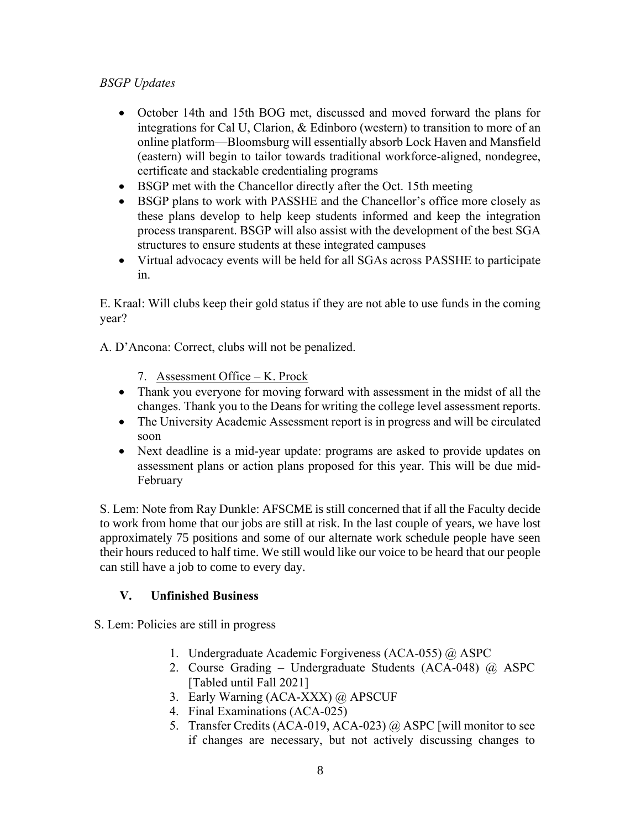# *BSGP Updates*

- October 14th and 15th BOG met, discussed and moved forward the plans for integrations for Cal U, Clarion, & Edinboro (western) to transition to more of an online platform—Bloomsburg will essentially absorb Lock Haven and Mansfield (eastern) will begin to tailor towards traditional workforce-aligned, nondegree, certificate and stackable credentialing programs
- BSGP met with the Chancellor directly after the Oct. 15th meeting
- BSGP plans to work with PASSHE and the Chancellor's office more closely as these plans develop to help keep students informed and keep the integration process transparent. BSGP will also assist with the development of the best SGA structures to ensure students at these integrated campuses
- Virtual advocacy events will be held for all SGAs across PASSHE to participate in.

E. Kraal: Will clubs keep their gold status if they are not able to use funds in the coming year?

A. D'Ancona: Correct, clubs will not be penalized.

- 7. Assessment Office K. Prock
- Thank you everyone for moving forward with assessment in the midst of all the changes. Thank you to the Deans for writing the college level assessment reports.
- The University Academic Assessment report is in progress and will be circulated soon
- Next deadline is a mid-year update: programs are asked to provide updates on assessment plans or action plans proposed for this year. This will be due mid-February

S. Lem: Note from Ray Dunkle: AFSCME is still concerned that if all the Faculty decide to work from home that our jobs are still at risk. In the last couple of years, we have lost approximately 75 positions and some of our alternate work schedule people have seen their hours reduced to half time. We still would like our voice to be heard that our people can still have a job to come to every day.

### **V. Unfinished Business**

S. Lem: Policies are still in progress

- 1. Undergraduate Academic Forgiveness (ACA-055) @ ASPC
- 2. Course Grading Undergraduate Students (ACA-048) @ ASPC [Tabled until Fall 2021]
- 3. Early Warning (ACA-XXX) @ APSCUF
- 4. Final Examinations (ACA-025)
- 5. Transfer Credits (ACA-019, ACA-023) @ ASPC [will monitor to see if changes are necessary, but not actively discussing changes to